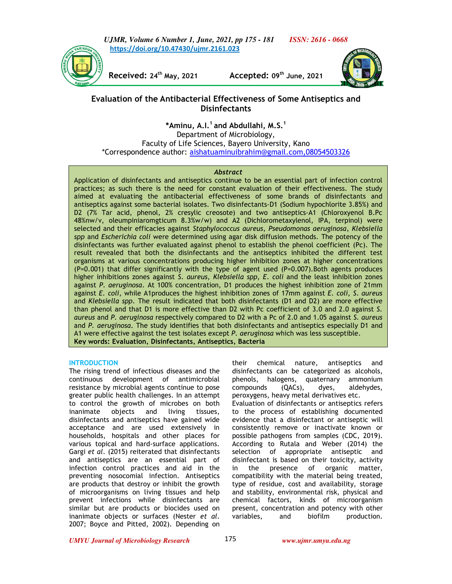*UJMR, Volume 6 Number 1, June, 2021, pp 175 - 181 ISSN: 2616 - 0668* **https://doi.org/10.47430/ujmr.2161.023**



**Received: 24th May, 2021 Accepted: 09th June, 2021** 



# **Evaluation of the Antibacterial Effectiveness of Some Antiseptics and Disinfectants**

**\*Aminu, A.I.<sup>1</sup>and Abdullahi, M.S.<sup>1</sup>**

Department of Microbiology, Faculty of Life Sciences, Bayero University, Kano \*Correspondence author: aishatuaminuibrahim@gmail.com,08054503326

## *Abstract*

Application of disinfectants and antiseptics continue to be an essential part of infection control practices; as such there is the need for constant evaluation of their effectiveness. The study aimed at evaluating the antibacterial effectiveness of some brands of disinfectants and antiseptics against some bacterial isolates. Two disinfectants-D1 (Sodium hypochlorite 3.85%) and D2 (7% Tar acid, phenol, 2% cresylic creosote) and two antiseptics-A1 (Chloroxyenol B.Pc 48%nw/v, oleumpiniaromgticum 8.3%w/w) and A2 (Dichlorometaxylenol, IPA, terpinol) were selected and their efficacies against *Staphylococcus aureus*, *Pseudomonas aeruginosa*, *Klebsiella spp* and *Escherichia coli* were determined using agar disk diffusion methods. The potency of the disinfectants was further evaluated against phenol to establish the phenol coefficient (Pc). The result revealed that both the disinfectants and the antiseptics inhibited the different test organisms at various concentrations producing higher inhibition zones at higher concentrations (P=0.001) that differ significantly with the type of agent used (P=0.007).Both agents produces higher inhibitions zones against *S*. *aureus*, *Klebsiella spp*, *E*. *coli* and the least inhibition zones against *P*. *aeruginosa*. At 100% concentration, D1 produces the highest inhibition zone of 21mm against *E. coli*, while A1produces the highest inhibition zones of 17mm against *E. coli*, *S*. *aureus* and *Klebsiella spp*. The result indicated that both disinfectants (D1 and D2) are more effective than phenol and that D1 is more effective than D2 with Pc coefficient of 3.0 and 2.0 against *S. aureus* and *P. aeruginosa* respectively compared to D2 with a Pc of 2.0 and 1.05 against *S. aureus* and *P. aeruginosa*. The study identifies that both disinfectants and antiseptics especially D1 and A1 were effective against the test isolates except *P. aeruginosa* which was less susceptible. **Key words: Evaluation, Disinfectants, Antiseptics, Bacteria**

#### **INTRODUCTION**

The rising trend of infectious diseases and the continuous development of antimicrobial resistance by microbial agents continue to pose greater public health challenges. In an attempt to control the growth of microbes on both inanimate objects and living tissues, disinfectants and antiseptics have gained wide acceptance and are used extensively in households, hospitals and other places for various topical and hard-surface applications. Gargi *et al*. (2015) reiterated that disinfectants and antiseptics are an essential part of infection control practices and aid in the preventing nosocomial infection. Antiseptics are products that destroy or inhibit the growth of microorganisms on living tissues and help prevent infections while disinfectants are similar but are products or biocides used on inanimate objects or surfaces (Nester *et al*. 2007; Boyce and Pitted, 2002). Depending on

their chemical nature, antiseptics and disinfectants can be categorized as alcohols, phenols, halogens, quaternary ammonium compounds (QACs), dyes, aldehydes, peroxygens, heavy metal derivatives etc. Evaluation of disinfectants or antiseptics refers to the process of establishing documented evidence that a disinfectant or antiseptic will consistently remove or inactivate known or possible pathogens from samples (CDC, 2019). According to Rutala and Weber (2014) the selection of appropriate antiseptic and disinfectant is based on their toxicity, activity in the presence of organic matter, compatibility with the material being treated, type of residue, cost and availability, storage and stability, environmental risk, physical and chemical factors, kinds of microorganism present, concentration and potency with other<br>variables. and biofilm production. and biofilm production.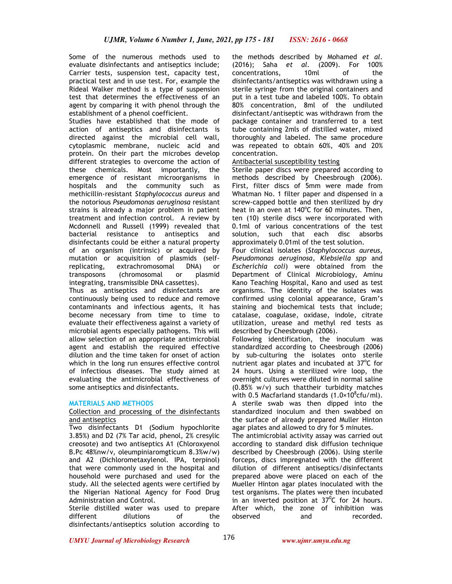Some of the numerous methods used to evaluate disinfectants and antiseptics include; Carrier tests, suspension test, capacity test, practical test and in use test. For, example the Rideal Walker method is a type of suspension test that determines the effectiveness of an agent by comparing it with phenol through the establishment of a phenol coefficient.

Studies have established that the mode of action of antiseptics and disinfectants is directed against the microbial cell wall, cytoplasmic membrane, nucleic acid and protein. On their part the microbes develop different strategies to overcome the action of these chemicals. Most importantly, the emergence of resistant microorganisms in hospitals and the community such as methicillin-resistant *Staphylococcus aureus* and the notorious *Pseudomonas aeruginosa* resistant strains is already a major problem in patient treatment and infection control. A review by Mcdonnell and Russell (1999) revealed that bacterial resistance to antiseptics and disinfectants could be either a natural property of an organism (intrinsic) or acquired by mutation or acquisition of plasmids (selfreplicating, extrachromosomal DNA) or transposons (chromosomal or plasmid integrating, transmissible DNA cassettes).

Thus as antiseptics and disinfectants are continuously being used to reduce and remove contaminants and infectious agents, it has become necessary from time to time to evaluate their effectiveness against a variety of microbial agents especially pathogens. This will allow selection of an appropriate antimicrobial agent and establish the required effective dilution and the time taken for onset of action which in the long run ensures effective control of infectious diseases. The study aimed at evaluating the antimicrobial effectiveness of some antiseptics and disinfectants.

# **MATERIALS AND METHODS**

#### Collection and processing of the disinfectants and antiseptics

Two disinfectants D1 (Sodium hypochlorite 3.85%) and D2 (7% Tar acid, phenol, 2% cresylic creosote) and two antiseptics A1 (Chloroxyenol B.Pc 48%nw/v, oleumpiniaromgticum 8.3%w/w) and A2 (Dichlorometaxylenol. IPA, terpinol) that were commonly used in the hospital and household were purchased and used for the study. All the selected agents were certified by the Nigerian National Agency for Food Drug Administration and Control.

Sterile distilled water was used to prepare different dilutions of the disinfectants/antiseptics solution according to

the methods described by Mohamed *et al*. (2016); Saha *et al*. (2009). For 100% concentrations, 10ml of the disinfectants/antiseptics was withdrawn using a sterile syringe from the original containers and put in a test tube and labeled 100%. To obtain 80% concentration, 8ml of the undiluted disinfectant/antiseptic was withdrawn from the package container and transferred to a test tube containing 2mls of distilled water, mixed thoroughly and labeled. The same procedure was repeated to obtain 60%, 40% and 20% concentration.

## Antibacterial susceptibility testing

Sterile paper discs were prepared according to methods described by Cheesbrough (2006). First, filter discs of 5mm were made from Whatman No. 1 filter paper and dispensed in a screw-capped bottle and then sterilized by dry heat in an oven at 140°C for 60 minutes. Then, ten (10) sterile discs were incorporated with 0.1ml of various concentrations of the test solution, such that each disc absorbs approximately 0.01ml of the test solution.

Four clinical isolates (*Staphylococcus aureus*, *Pseudomonas aeruginosa*, *Klebsiella spp* and *Escherichia coli*) were obtained from the Department of Clinical Microbiology, Aminu Kano Teaching Hospital, Kano and used as test organisms. The identity of the isolates was confirmed using colonial appearance, Gram's staining and biochemical tests that include; catalase, coagulase, oxidase, indole, citrate utilization, urease and methyl red tests as described by Cheesbrough (2006).

Following identification, the inoculum was standardized according to Cheesbrough (2006) by sub-culturing the isolates onto sterile nutrient agar plates and incubated at 37°C for 24 hours. Using a sterilized wire loop, the overnight cultures were diluted in normal saline (0.85% w/v) such thattheir turbidity matches with 0.5 Macfarland standards  $(1.0 \times 10^8$ cfu/ml). A sterile swab was then dipped into the standardized inoculum and then swabbed on the surface of already prepared Muller Hinton agar plates and allowed to dry for 5 minutes.

The antimicrobial activity assay was carried out according to standard disk diffusion technique described by Cheesbrough (2006). Using sterile forceps, discs impregnated with the different dilution of different antiseptics/disinfectants prepared above were placed on each of the Mueller Hinton agar plates inoculated with the test organisms. The plates were then incubated in an inverted position at  $37^{\circ}$ C for 24 hours. After which, the zone of inhibition was observed and recorded.

*UMYU Journal of Microbiology Research www.ujmr.umyu.edu.ng*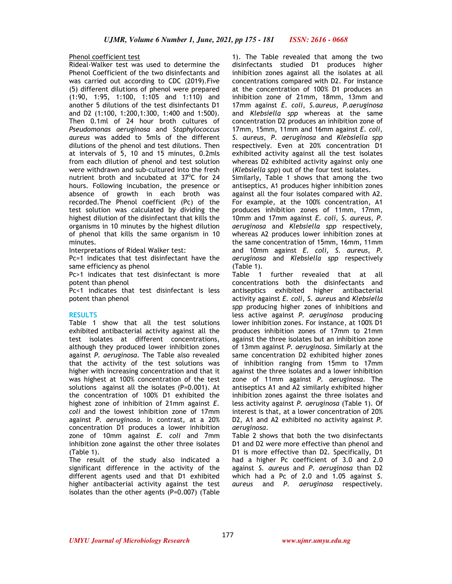#### Phenol coefficient test

Rideal-Walker test was used to determine the Phenol Coefficient of the two disinfectants and was carried out according to CDC (2019).Five (5) different dilutions of phenol were prepared (1:90, 1:95, 1:100, 1:105 and 1:110) and another 5 dilutions of the test disinfectants D1 and D2 (1:100, 1:200,1:300, 1:400 and 1:500). Then 0.1ml of 24 hour broth cultures of *Pseudomonas aeruginosa* and *Staphylococcus aureus* was added to 5mls of the different dilutions of the phenol and test dilutions. Then at intervals of 5, 10 and 15 minutes, 0.2mls from each dilution of phenol and test solution were withdrawn and sub-cultured into the fresh nutrient broth and incubated at 37°C for 24 hours. Following incubation, the presence or absence of growth in each broth was recorded.The Phenol coefficient (Pc) of the test solution was calculated by dividing the highest dilution of the disinfectant that kills the organisms in 10 minutes by the highest dilution of phenol that kills the same organism in 10 minutes.

Interpretations of Rideal Walker test:

Pc=1 indicates that test disinfectant have the same efficiency as phenol

Pc>1 indicates that test disinfectant is more potent than phenol

Pc<1 indicates that test disinfectant is less potent than phenol

#### **RESULTS**

Table 1 show that all the test solutions exhibited antibacterial activity against all the test isolates at different concentrations, although they produced lower inhibition zones against *P. aeruginosa*. The Table also revealed that the activity of the test solutions was higher with increasing concentration and that it was highest at 100% concentration of the test solutions against all the isolates (P=0.001). At the concentration of 100% D1 exhibited the highest zone of inhibition of 21mm against *E. coli* and the lowest inhibition zone of 17mm against *P. aeruginosa*. In contrast, at a 20% concentration D1 produces a lower inhibition zone of 10mm against *E. coli* and 7mm inhibition zone against the other three isolates (Table 1).

The result of the study also indicated a significant difference in the activity of the different agents used and that D1 exhibited higher antibacterial activity against the test isolates than the other agents (P=0.007) (Table

1). The Table revealed that among the two disinfectants studied D1 produces higher inhibition zones against all the isolates at all concentrations compared with D2. For instance at the concentration of 100% D1 produces an inhibition zone of 21mm, 18mm, 13mm and 17mm against *E. coli*, *S.aureus*, *P.aeruginosa* and *Klebsiella spp* whereas at the same concentration D2 produces an inhibition zone of 17mm, 15mm, 11mm and 16mm against *E. coli*, *S. aureus*, *P. aeruginosa* and *Klebsiella spp* respectively. Even at 20% concentration D1 exhibited activity against all the test isolates whereas D2 exhibited activity against only one (*Klebsiella spp*) out of the four test isolates.

Similarly, Table 1 shows that among the two antiseptics, A1 produces higher inhibition zones against all the four isolates compared with A2. For example, at the 100% concentration, A1 produces inhibition zones of 11mm, 17mm, 10mm and 17mm against *E. coli*, *S. aureus*, *P. aeruginosa* and *Klebsiella spp* respectively, whereas A2 produces lower inhibition zones at the same concentration of 15mm, 16mm, 11mm and 10mm against *E. coli*, *S. aureus*, *P. aeruginosa* and *Klebsiella spp* respectively (Table 1).

Table 1 further revealed that at all concentrations both the disinfectants and antiseptics exhibited higher antibacterial activity against *E. coli*, *S. aureus* and *Klebsiella spp* producing higher zones of inhibitions and less active against *P. aeruginosa* producing lower inhibition zones. For instance, at 100% D1 produces inhibition zones of 17mm to 21mm against the three isolates but an inhibition zone of 13mm against *P. aeruginosa*. Similarly at the same concentration D2 exhibited higher zones of inhibition ranging from 15mm to 17mm against the three isolates and a lower inhibition zone of 11mm against *P. aeruginosa*. The antiseptics A1 and A2 similarly exhibited higher inhibition zones against the three isolates and less activity against *P. aeruginosa* (Table 1). Of interest is that, at a lower concentration of 20% D2, A1 and A2 exhibited no activity against *P. aeruginosa*.

Table 2 shows that both the two disinfectants D1 and D2 were more effective than phenol and D1 is more effective than D2. Specifically, D1 had a higher Pc coefficient of 3.0 and 2.0 against *S. aureus* and *P. aeruginosa* than D2 which had a Pc of 2.0 and 1.05 against *S. aureus* and *P. aeruginosa* respectively.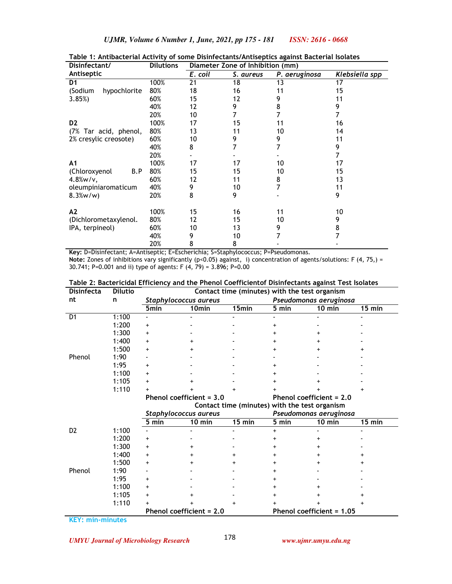| Disinfectant/           | <b>Dilutions</b> | Diameter Zone of Inhibition (mm) |           |               |                       |  |
|-------------------------|------------------|----------------------------------|-----------|---------------|-----------------------|--|
| Antiseptic              |                  | $E.$ coil                        | S. aureus | P. aeruginosa | <b>Klebsiella spp</b> |  |
| D <sub>1</sub>          | 100%             | 21                               | 18        | 13            | 17                    |  |
| (Sodium<br>hypochlorite | 80%              | 18                               | 16        | 11            | 15                    |  |
| 3.85%                   | 60%              | 15                               | 12        | 9             | 11                    |  |
|                         | 40%              | 12                               | 9         | 8             | 9                     |  |
|                         | 20%              | 10                               |           |               |                       |  |
| D <sub>2</sub>          | 100%             | 17                               | 15        | 11            | 16                    |  |
| (7% Tar acid, phenol,   | 80%              | 13                               | 11        | 10            | 14                    |  |
| 2% cresylic creosote)   | 60%              | 10                               | 9         | 9             | 11                    |  |
|                         | 40%              | 8                                |           |               | 9                     |  |
|                         | 20%              |                                  |           |               | 7                     |  |
| A <sub>1</sub>          | 100%             | 17                               | 17        | 10            | 17                    |  |
| (Chloroxyenol<br>B.P    | 80%              | 15                               | 15        | 10            | 15                    |  |
| $4.8\%$ w/v,            | 60%              | 12                               | 11        | 8             | 13                    |  |
| oleumpiniaromaticum     | 40%              | 9                                | 10        | 7             | 11                    |  |
| $8.3\%w/w$              | 20%              | 8                                | 9         |               | 9                     |  |
| A2                      | 100%             | 15                               | 16        | 11            | 10                    |  |
| (Dichlorometaxylenol.   | 80%              | 12                               | 15        | 10            | 9                     |  |
| IPA, terpineol)         | 60%              | 10                               | 13        | 9             | 8                     |  |
|                         | 40%              | 9                                | 10        |               |                       |  |
|                         | 20%              | 8                                | 8         |               |                       |  |
|                         |                  |                                  |           |               |                       |  |

**Table 1: Antibacterial Activity of some Disinfectants/Antiseptics against Bacterial Isolates** 

**Key:** D=Disinfectant; A=Antiseptic; E=Escherichia; S=Staphylococcus; P=Pseudomonas. Note: Zones of inhibitions vary significantly (p<0.05) against, i) concentration of agents/solutions: F (4, 75,) = 30.741; P=0.001 and ii) type of agents: F (4, 79) = 3.896; P=0.00

|  | Table 2: Bactericidal Efficiency and the Phenol Coefficientof Disinfectants against Test Isolates |
|--|---------------------------------------------------------------------------------------------------|
|  |                                                                                                   |

| <b>Disinfecta</b> | <b>Dilutio</b> | Contact time (minutes) with the test organism |                                               |           |                          |                           |                  |  |  |
|-------------------|----------------|-----------------------------------------------|-----------------------------------------------|-----------|--------------------------|---------------------------|------------------|--|--|
| nt                | n              | Staphylococcus aureus                         |                                               |           | Pseudomonas aeruginosa   |                           |                  |  |  |
|                   |                | 5min                                          | 10 <sub>min</sub>                             | 15min     | 5 min                    | $10 \text{ min}$          | $15 \text{ min}$ |  |  |
| D <sub>1</sub>    | 1:100          |                                               |                                               |           |                          |                           |                  |  |  |
|                   | 1:200          | $\ddot{}$                                     |                                               |           | +                        |                           |                  |  |  |
|                   | 1:300          | $\ddot{}$                                     |                                               |           | +                        |                           |                  |  |  |
|                   | 1:400          | $\ddot{}$                                     |                                               |           | +                        |                           |                  |  |  |
|                   | 1:500          | $\ddot{}$                                     |                                               |           |                          |                           |                  |  |  |
| Phenol            | 1:90           |                                               |                                               |           |                          |                           |                  |  |  |
|                   | 1:95           | $\ddot{}$                                     |                                               |           | +                        |                           |                  |  |  |
|                   | 1:100          | $\ddot{}$                                     |                                               |           |                          |                           |                  |  |  |
|                   | 1:105          | $\ddot{}$                                     |                                               |           | +                        |                           |                  |  |  |
|                   | 1:110          | +                                             |                                               |           |                          |                           |                  |  |  |
|                   |                | Phenol coefficient = 3.0                      |                                               |           | Phenol coefficient = 2.0 |                           |                  |  |  |
|                   |                |                                               | Contact time (minutes) with the test organism |           |                          |                           |                  |  |  |
|                   |                | Staphylococcus aureus                         |                                               |           |                          | Pseudomonas aeruginosa    |                  |  |  |
|                   |                | 5 min                                         | 10 min                                        | $15$ min  | 5 min                    | 10 min                    | 15 min           |  |  |
| D <sub>2</sub>    | 1:100          |                                               |                                               |           | $+$                      |                           |                  |  |  |
|                   | 1:200          | $\ddot{}$                                     |                                               |           | +                        | +                         |                  |  |  |
|                   | 1:300          | $\ddot{}$                                     |                                               |           |                          |                           |                  |  |  |
|                   | 1:400          | $\ddot{}$                                     |                                               |           | +                        |                           |                  |  |  |
|                   | 1:500          | $\ddot{}$                                     |                                               |           | +                        |                           |                  |  |  |
| Phenol            | 1:90           |                                               |                                               |           |                          |                           |                  |  |  |
|                   | 1:95           | $\ddot{}$                                     |                                               |           | +                        |                           |                  |  |  |
|                   | 1:100          | $\ddot{}$                                     |                                               |           | +                        |                           |                  |  |  |
|                   | 1:105          | $\ddot{}$                                     |                                               |           |                          |                           |                  |  |  |
|                   | 1:110          | $\ddot{}$                                     |                                               | $\ddot{}$ | +                        |                           |                  |  |  |
|                   |                |                                               | Phenol coefficient = 2.0                      |           |                          | Phenol coefficient = 1.05 |                  |  |  |

**KEY: min-minutes**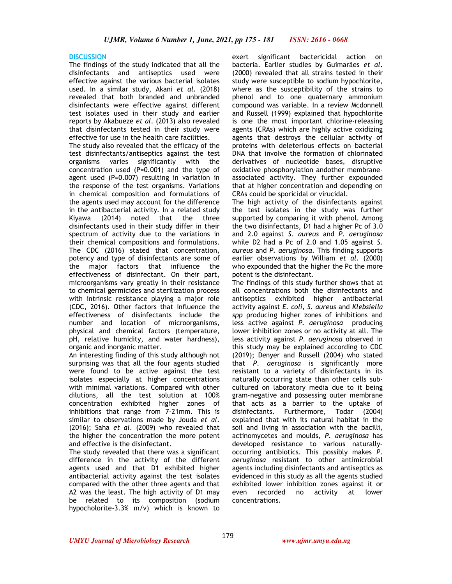### **DISCUSSION**

The findings of the study indicated that all the disinfectants and antiseptics used were effective against the various bacterial isolates used. In a similar study, Akani *et al*. (2018) revealed that both branded and unbranded disinfectants were effective against different test isolates used in their study and earlier reports by Akabueze *et al*. (2013) also revealed that disinfectants tested in their study were effective for use in the health care facilities.

The study also revealed that the efficacy of the test disinfectants/antiseptics against the test organisms varies significantly with the concentration used (P=0.001) and the type of agent used (P=0.007) resulting in variation in the response of the test organisms. Variations in chemical composition and formulations of the agents used may account for the difference in the antibacterial activity. In a related study Kiyawa (2014) noted that the three disinfectants used in their study differ in their spectrum of activity due to the variations in their chemical compositions and formulations. The CDC (2016) stated that concentration, potency and type of disinfectants are some of the major factors that influence the effectiveness of disinfectant. On their part, microorganisms vary greatly in their resistance to chemical germicides and sterilization process with intrinsic resistance playing a major role (CDC, 2016). Other factors that influence the effectiveness of disinfectants include the number and location of microorganisms, physical and chemical factors (temperature, pH, relative humidity, and water hardness), organic and inorganic matter.

An interesting finding of this study although not surprising was that all the four agents studied were found to be active against the test isolates especially at higher concentrations with minimal variations. Compared with other dilutions, all the test solution at 100% concentration exhibited higher zones of inhibitions that range from 7-21mm. This is similar to observations made by Jouda *et al*. (2016); Saha *et al*. (2009) who revealed that the higher the concentration the more potent and effective is the disinfectant.

The study revealed that there was a significant difference in the activity of the different agents used and that D1 exhibited higher antibacterial activity against the test isolates compared with the other three agents and that A2 was the least. The high activity of D1 may be related to its composition (sodium hypocholorite-3.3% m/v) which is known to

exert significant bactericidal action on bacteria. Earlier studies by Guimarães *et al*. (2000) revealed that all strains tested in their study were susceptible to sodium hypochlorite, where as the susceptibility of the strains to phenol and to one quaternary ammonium compound was variable. In a review Mcdonnell and Russell (1999) explained that hypochlorite is one the most important chlorine-releasing agents (CRAs) which are highly active oxidizing agents that destroys the cellular activity of proteins with deleterious effects on bacterial DNA that involve the formation of chlorinated derivatives of nucleotide bases, disruptive oxidative phosphorylation andother membraneassociated activity. They further expounded that at higher concentration and depending on CRAs could be sporicidal or virucidal.

The high activity of the disinfectants against the test isolates in the study was further supported by comparing it with phenol. Among the two disinfectants, D1 had a higher Pc of 3.0 and 2.0 against *S. aureus* and *P. aeruginosa*  while D2 had a Pc of 2.0 and 1.05 against *S. aureus* and *P. aeruginosa*. This finding supports earlier observations by William *et al*. (2000) who expounded that the higher the Pc the more potent is the disinfectant.

The findings of this study further shows that at all concentrations both the disinfectants and antiseptics exhibited higher antibacterial activity against *E. coli*, *S. aureus* and *Klebsiella spp* producing higher zones of inhibitions and less active against *P. aeruginosa* producing lower inhibition zones or no activity at all. The less activity against *P*. *aeruginosa* observed in this study may be explained according to CDC (2019); Denyer and Russell (2004) who stated that *P*. *aeruginosa* is significantly more resistant to a variety of disinfectants in its naturally occurring state than other cells subcultured on laboratory media due to it being gram-negative and possessing outer membrane that acts as a barrier to the uptake of disinfectants. Furthermore, Todar (2004) explained that with its natural habitat in the soil and living in association with the bacilli, actinomycetes and moulds, *P*. *aeruginosa* has developed resistance to various naturallyoccurring antibiotics. This possibly makes *P*. *aeruginosa* resistant to other antimicrobial agents including disinfectants and antiseptics as evidenced in this study as all the agents studied exhibited lower inhibition zones against it or even recorded no activity at lower concentrations.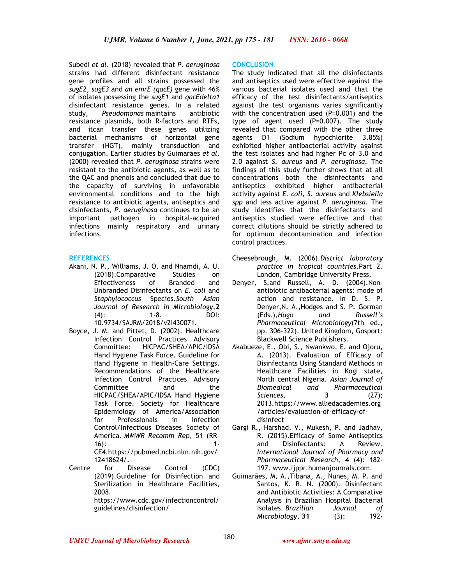Subedi *et al*. (2018) revealed that *P*. *aeruginosa* strains had different disinfectant resistance gene profiles and all strains possessed the *sugE2*, *sugE3* and *an emrE (qacE)* gene with 46% of isolates possessing the *sugE1* and *qacEdelta1* disinfectant resistance genes. In a related study, *Pseudomonas* maintains antibiotic resistance plasmids, both R-factors and RTFs, and itcan transfer these genes utilizing bacterial mechanisms of horizontal gene transfer (HGT), mainly transduction and conjugation. Earlier studies by Guimarães *et al*. (2000) revealed that *P*. *aeruginosa* strains were resistant to the antibiotic agents, as well as to the QAC and phenols and concluded that due to the capacity of surviving in unfavorable environmental conditions and to the high resistance to antibiotic agents, antiseptics and disinfectants, *P*. *aeruginosa* continues to be an important pathogen in hospital-acquired infections mainly respiratory and urinary infections.

# **REFERENCES**

- Akani, N. P., Williams, J. O. and Nnamdi, A. U. (2018).Comparative Studies on Effectiveness of Branded and Unbranded Disinfectants on *E. coli* and *Staphylococcus* Species.*South Asian Journal of Research in Microbiology*,**2** (4): 1-8*.* DOI: 10.9734/SAJRM/2018/v2i430071.
- Boyce, J. M. and Pittet, D. (2002). Healthcare Infection Control Practices Advisory Committee; HICPAC/SHEA/APIC/IDSA Hand Hygiene Task Force. Guideline for Hand Hygiene in Health-Care Settings. Recommendations of the Healthcare Infection Control Practices Advisory Committee and the HICPAC/SHEA/APIC/IDSA Hand Hygiene Task Force. Society for Healthcare Epidemiology of America/Association for Professionals in Infection Control/Infectious Diseases Society of America. *MMWR Recomm Rep*, 51 (RR- $16$ : 1-CE4.https://pubmed.ncbi.nlm.nih.gov/

12418624/.

Centre for Disease Control (CDC) (2019).Guideline for Disinfection and Sterilization in Healthcare Facilities, 2008.

https://www.cdc.gov/infectioncontrol/ guidelines/disinfection/

# **CONCLUSION**

The study indicated that all the disinfectants and antiseptics used were effective against the various bacterial isolates used and that the efficacy of the test disinfectants/antiseptics against the test organisms varies significantly with the concentration used (P=0.001) and the type of agent used (P=0.007). The study revealed that compared with the other three agents D1 (Sodium hypochlorite 3.85%) exhibited higher antibacterial activity against the test isolates and had higher Pc of 3.0 and 2.0 against *S. aureus* and *P. aeruginosa*. The findings of this study further shows that at all concentrations both the disinfectants and antiseptics exhibited higher antibacterial activity against *E. coli*, *S. aureus* and *Klebsiella spp* and less active against *P. aeruginosa*. The study identifies that the disinfectants and antiseptics studied were effective and that correct dilutions should be strictly adhered to for optimum decontamination and infection control practices.

- Cheesebrough, M. (2006).*District laboratory practice in tropical countries.*Part 2. London, Cambridge University Press.
- Denyer, S.and Russell, A. D. (2004).Nonantibiotic antibacterial agents: mode of action and resistance. In D. S. P. Denyer,N. A.,Hodges and S. P. Gorman (Eds.),*Hugo and Russell's Pharmaceutical Microbiology*(7th ed., pp. 306-322). United Kingdom, Gosport: Blackwell Science Publishers.
- Akabueze, E., Obi, S., Nwankwo, E. and Ojoru, A. (2013). Evaluation of Efficacy of Disinfectants Using Standard Methods in Healthcare Facilities in Kogi state, North central Nigeria. *Asian Journal of Biomedical and Pharmaceutical Sciences*, **3** (27); 2013.https://www.alliedacademies.org /articles/evaluation-of-efficacy-ofdisinfect
- Gargi R., Harshad, V., Mukesh, P. and Jadhav, R. (2015).Efficacy of Some Antiseptics and Disinfectants: A Review. *International Journal of Pharmacy and Pharmaceutical Research*, **4** (4): 182- 197. www.ijppr.humanjournals.com.
- Guimarães, M, A.,Tibana, A., Nunes, M. P. and Santos, K. R. N. (2000). Disinfectant and Antibiotic Activities: A Comparative Analysis in Brazilian Hospital Bacterial Isolates. *Brazilian Journal of Microbiology*, **31** (3): 192-